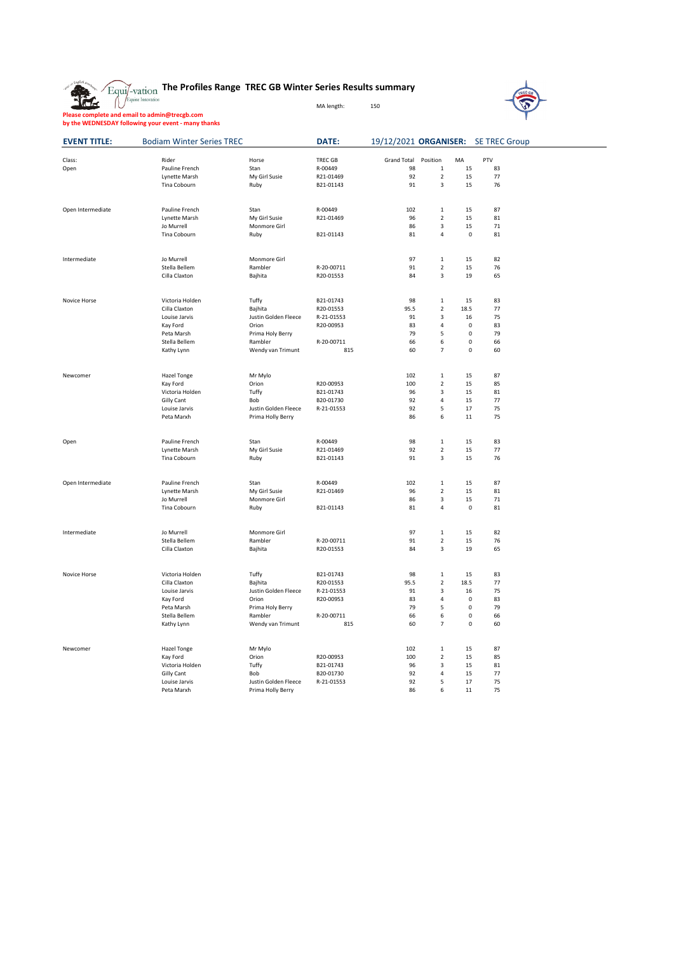|  |  |  |  |  | $_{\rm i/ vation}$ The Profiles Range TREC GB Winter Series Results summary |  |  |  |  |  |
|--|--|--|--|--|-----------------------------------------------------------------------------|--|--|--|--|--|
|--|--|--|--|--|-----------------------------------------------------------------------------|--|--|--|--|--|

MA length: 150

**The Profile<br>
The Profile Comme Innovation Please complete and email to admin@trecgb.com by the WEDNESDAY following your event - many thanks**



| <b>EVENT TITLE:</b> | <b>Bodiam Winter Series TREC</b> |                      | DATE:      |             |                         |             | 19/12/2021 ORGANISER: SE TREC Group |  |
|---------------------|----------------------------------|----------------------|------------|-------------|-------------------------|-------------|-------------------------------------|--|
| Class:              | Rider                            | Horse                | TREC GB    | Grand Total | Position                | MA          | PTV                                 |  |
| Open                | Pauline French                   | Stan                 | R-00449    | 98          | 1                       | 15          | 83                                  |  |
|                     | Lynette Marsh                    | My Girl Susie        | R21-01469  | 92          | $\mathbf 2$             | 15          | 77                                  |  |
|                     | Tina Cobourn                     | Ruby                 | B21-01143  | 91          | $\overline{\mathbf{3}}$ | 15          | 76                                  |  |
| Open Intermediate   | Pauline French                   | Stan                 | R-00449    | 102         | $\,1\,$                 | 15          | 87                                  |  |
|                     | Lynette Marsh                    | My Girl Susie        | R21-01469  | 96          | $\overline{2}$          | 15          | 81                                  |  |
|                     | Jo Murrell                       | Monmore Girl         |            | 86          | $\overline{\mathbf{3}}$ | 15          | 71                                  |  |
|                     | Tina Cobourn                     | Ruby                 | B21-01143  | 81          | 4                       | $\mathbf 0$ | 81                                  |  |
| Intermediate        | Jo Murrell                       | Monmore Girl         |            | 97          | $\,1\,$                 | 15          | 82                                  |  |
|                     | Stella Bellem                    | Rambler              | R-20-00711 | 91          | $\overline{2}$          | 15          | 76                                  |  |
|                     | Cilla Claxton                    | Bajhita              | R20-01553  | 84          | 3                       | 19          | 65                                  |  |
| Novice Horse        | Victoria Holden                  | Tuffy                | B21-01743  | 98          | $\,1\,$                 | 15          | 83                                  |  |
|                     | Cilla Claxton                    | Bajhita              | R20-01553  | 95.5        | $\overline{2}$          | 18.5        | 77                                  |  |
|                     | Louise Jarvis                    | Justin Golden Fleece | R-21-01553 | 91          | 3                       | 16          | 75                                  |  |
|                     | Kay Ford                         | Orion                | R20-00953  | 83          | 4                       | $\mathbf 0$ | 83                                  |  |
|                     | Peta Marsh                       | Prima Holy Berry     |            | 79          | 5                       | $\mathbf 0$ | 79                                  |  |
|                     | Stella Bellem                    | Rambler              | R-20-00711 | 66          | 6                       | 0           | 66                                  |  |
|                     | Kathy Lynn                       | Wendy van Trimunt    | 815        | 60          | $\overline{7}$          | $\mathbf 0$ | 60                                  |  |
| Newcomer            | Hazel Tonge                      | Mr Mylo              |            | 102         | $\,1\,$                 | 15          | 87                                  |  |
|                     | Kay Ford                         | Orion                | R20-00953  | 100         | $\overline{2}$          | 15          | 85                                  |  |
|                     | Victoria Holden                  | Tuffy                | B21-01743  | 96          | $\overline{3}$          | 15          | 81                                  |  |
|                     | <b>Gilly Cant</b>                | Bob                  | B20-01730  | 92          | 4                       | 15          | 77                                  |  |
|                     | Louise Jarvis                    | Justin Golden Fleece | R-21-01553 | 92          | 5                       | 17          | 75                                  |  |
|                     | Peta Marxh                       | Prima Holly Berry    |            | 86          | 6                       | 11          | 75                                  |  |
| Open                | Pauline French                   | Stan                 | R-00449    | 98          | $\,1\,$                 | 15          | 83                                  |  |
|                     | Lynette Marsh                    | My Girl Susie        | R21-01469  | 92          | $\mathbf 2$             | 15          | 77                                  |  |
|                     | Tina Cobourn                     | Ruby                 | B21-01143  | 91          | 3                       | 15          | 76                                  |  |
| Open Intermediate   | Pauline French                   | Stan                 | R-00449    | 102         | $\mathbf 1$             | 15          | 87                                  |  |
|                     | Lynette Marsh                    | My Girl Susie        | R21-01469  | 96          | $\mathbf 2$             | 15          | 81                                  |  |
|                     | Jo Murrell                       | Monmore Girl         |            | 86          | $\overline{\mathbf{3}}$ | 15          | 71                                  |  |
|                     | Tina Cobourn                     | Ruby                 | B21-01143  | 81          | 4                       | 0           | 81                                  |  |
| Intermediate        | Jo Murrell                       | Monmore Girl         |            | 97          | $\mathbf 1$             | 15          | 82                                  |  |
|                     | Stella Bellem                    | Rambler              | R-20-00711 | 91          | $\overline{2}$          | 15          | 76                                  |  |
|                     | Cilla Claxton                    | Bajhita              | R20-01553  | 84          | 3                       | 19          | 65                                  |  |
| Novice Horse        | Victoria Holden                  | Tuffy                | B21-01743  | 98          | $\mathbf 1$             | 15          | 83                                  |  |
|                     | Cilla Claxton                    | Bajhita              | R20-01553  | 95.5        | $\overline{2}$          | 18.5        | 77                                  |  |
|                     | Louise Jarvis                    | Justin Golden Fleece | R-21-01553 | 91          | 3                       | 16          | 75                                  |  |
|                     | Kay Ford                         | Orion                | R20-00953  | 83          | 4                       | $\pmb{0}$   | 83                                  |  |
|                     | Peta Marsh                       | Prima Holy Berry     |            | 79          | 5                       | $\mathbf 0$ | 79                                  |  |
|                     | Stella Bellem                    | Rambler              | R-20-00711 | 66          | 6                       | $\pmb{0}$   | 66                                  |  |
|                     | Kathy Lynn                       | Wendy van Trimunt    | 815        | 60          | $\overline{7}$          | $\mathbf 0$ | 60                                  |  |
| Newcomer            | Hazel Tonge                      | Mr Mylo              |            | 102         | $\mathbf{1}$            | 15          | 87                                  |  |
|                     | Kay Ford                         | Orion                | R20-00953  | 100         | $\overline{2}$          | 15          | 85                                  |  |
|                     | Victoria Holden                  | Tuffy                | B21-01743  | 96          | 3                       | 15          | 81                                  |  |
|                     | <b>Gilly Cant</b>                | Bob                  | B20-01730  | 92          | 4                       | 15          | 77                                  |  |
|                     | Louise Jarvis                    | Justin Golden Fleece | R-21-01553 | 92          | 5                       | 17          | 75                                  |  |
|                     | Peta Marxh                       | Prima Holly Berry    |            | 86          | 6                       | 11          | 75                                  |  |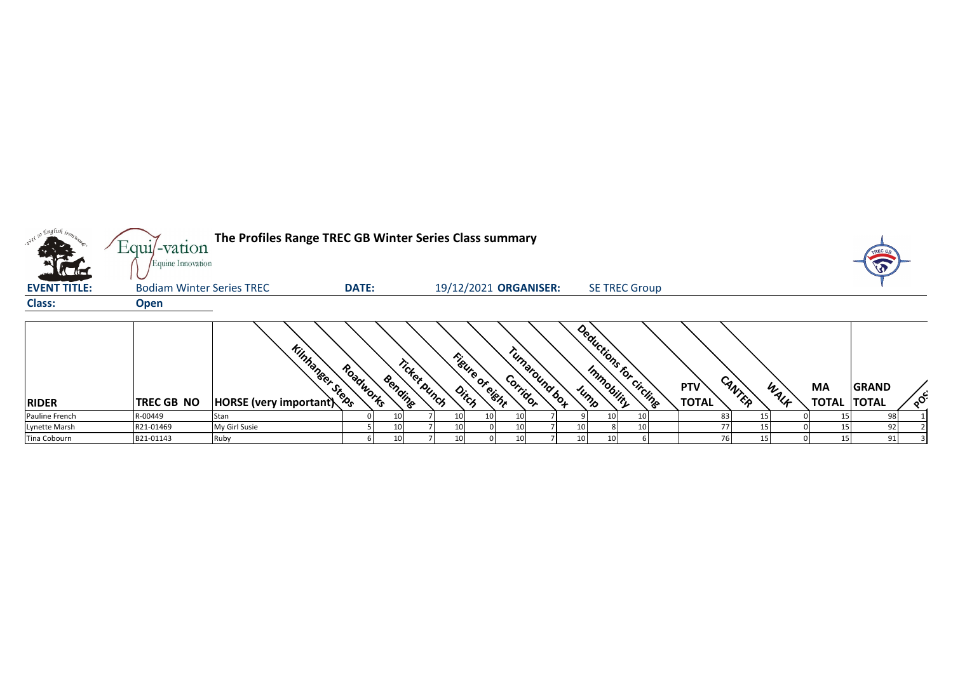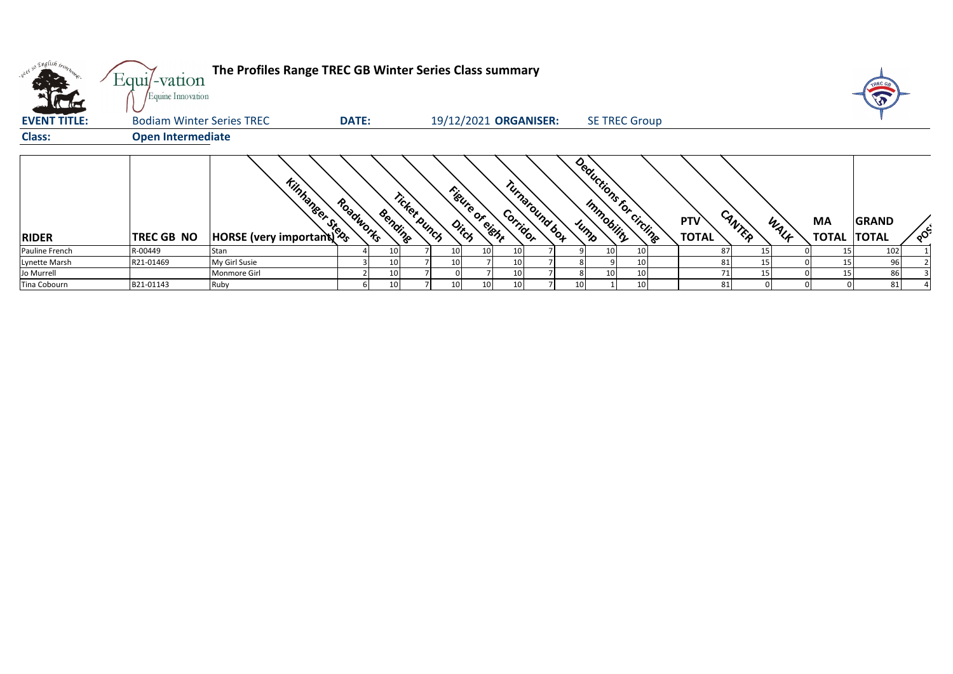| $\sqrt{16}$         | Equi/-vation<br>Equine Innovation | The Profiles Range TREC GB Winter Series Class summary |              |                         |                 |                            |    |                 |                         |                            |        |      |                           | TREC GR                      |         |
|---------------------|-----------------------------------|--------------------------------------------------------|--------------|-------------------------|-----------------|----------------------------|----|-----------------|-------------------------|----------------------------|--------|------|---------------------------|------------------------------|---------|
| <b>EVENT TITLE:</b> | <b>Bodiam Winter Series TREC</b>  |                                                        | <b>DATE:</b> |                         |                 | 19/12/2021 ORGANISER:      |    |                 | <b>SE TREC Group</b>    |                            |        |      |                           |                              |         |
| <b>Class:</b>       | <b>Open Intermediate</b>          |                                                        |              |                         |                 |                            |    |                 |                         |                            |        |      |                           |                              |         |
| <b>RIDER</b>        | <b>TREC GB NO</b>                 | <b>Kintage Road</b>                                    | Roadworks    | Ticket bunch<br>Bending | Figure of eight | Turnaround box<br>Corridor |    |                 | Deductions for circline | <b>PTV</b><br><b>TOTAL</b> | CANTER | WALK | <b>MA</b><br><b>TOTAL</b> | <b>GRAND</b><br><b>TOTAL</b> | $\circ$ |
| Pauline French      | R-00449                           | Stan                                                   |              | 10                      |                 |                            |    | 10              | 10                      | 87                         | 15     |      |                           | 102                          |         |
| Lynette Marsh       | R21-01469                         | My Girl Susie                                          |              | 10                      |                 |                            |    |                 | 10                      | 81                         | 15     |      |                           |                              |         |
| Jo Murrell          |                                   | Monmore Girl                                           |              | 10                      |                 |                            |    | 10 <sub>1</sub> | 10                      |                            |        |      |                           | 86                           |         |
| Tina Cobourn        | B21-01143                         | Ruby                                                   |              | 10                      |                 |                            | 10 |                 | 10                      | 81                         |        |      |                           | 81                           |         |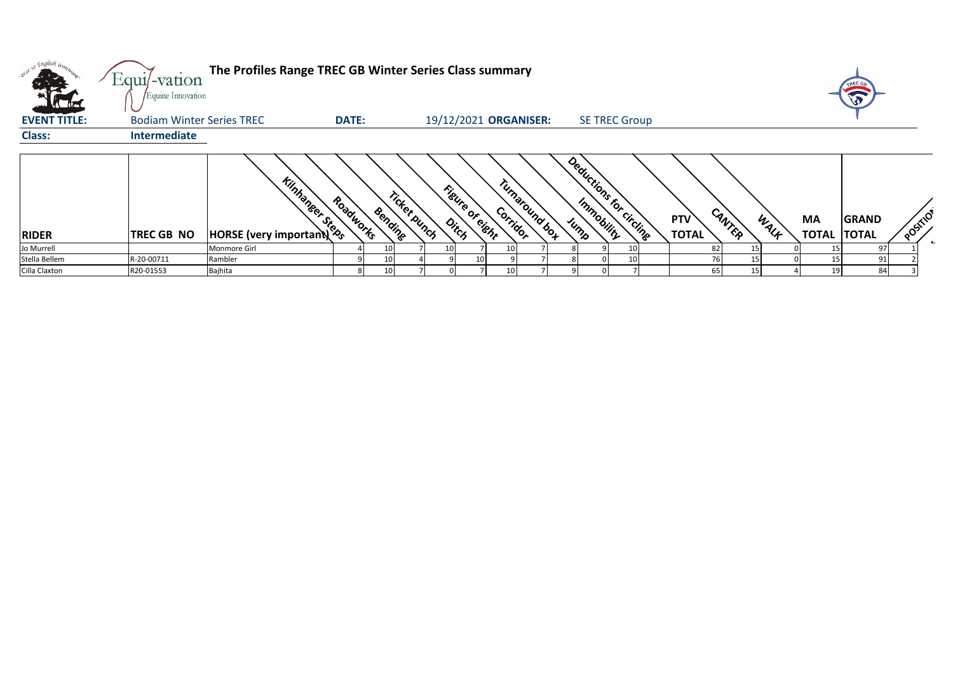|                     | $Equi$ -vation<br>Equine Innovation | The Profiles Range TREC GB Winter Series Class summary |              |                         |                 |                                               |  |                          |                            |                |    | TREC OF                            |         |
|---------------------|-------------------------------------|--------------------------------------------------------|--------------|-------------------------|-----------------|-----------------------------------------------|--|--------------------------|----------------------------|----------------|----|------------------------------------|---------|
| <b>EVENT TITLE:</b> | <b>Bodiam Winter Series TREC</b>    |                                                        | <b>DATE:</b> |                         |                 | 19/12/2021 ORGANISER:                         |  | <b>SE TREC Group</b>     |                            |                |    |                                    |         |
| <b>Class:</b>       | <b>Intermediate</b>                 |                                                        |              |                         |                 |                                               |  |                          |                            |                |    |                                    |         |
| <b>RIDER</b>        | <b>TREC GB NO</b>                   | <b>Tintance Road</b>                                   | Roadworks    | Ticket punch<br>Bending | Ditch           | Turnaround box<br>Figure of eight<br>Corridor |  | Deductions for circlines | <b>PTV</b><br><b>TOTAL</b> | CANTER<br>WALF | MA | <b>GRAND</b><br><b>TOTAL TOTAL</b> | POSTIIO |
| Jo Murrell          |                                     | Monmore Girl                                           |              | 10                      | 10 <sup>1</sup> | 10                                            |  |                          | 82                         | 15             |    | 97                                 |         |
| Stella Bellem       | R-20-00711                          | Rambler                                                |              |                         |                 |                                               |  |                          |                            |                |    | 91                                 |         |
| Cilla Claxton       | R20-01553                           | Bajhita                                                |              | 10                      |                 | 10 <sup>1</sup>                               |  |                          | 65                         | 15'            | 19 | 84                                 |         |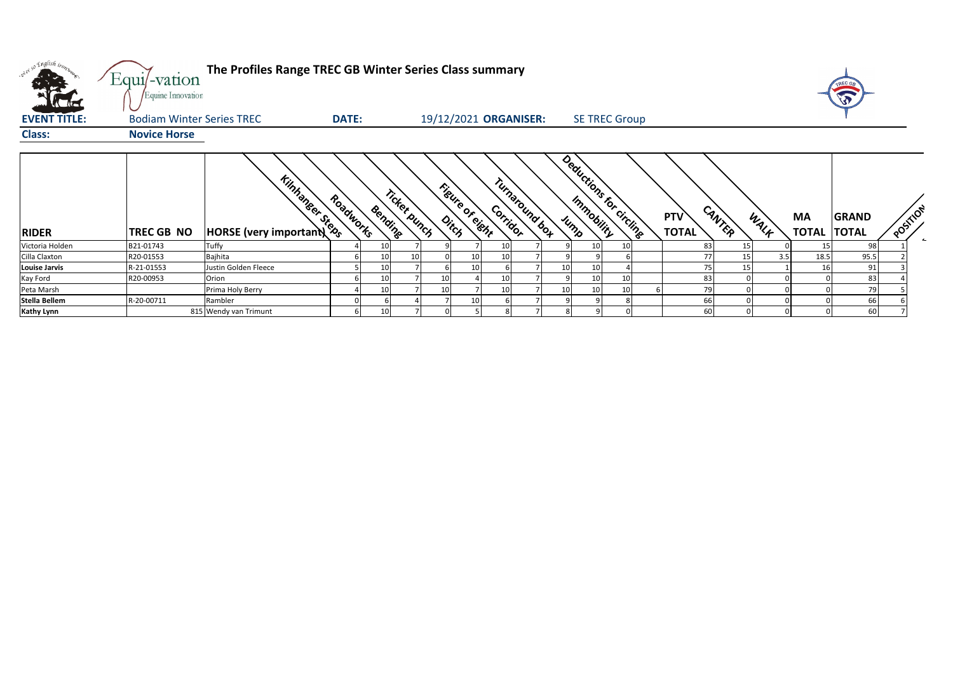| v <sup>i 50</sup> English iron, | Equi/-vation<br>Equine Innovation | The Profiles Range TREC GB Winter Series Class summary |              |         |              |                             |               |                         |                 |                     |        |                   |      | TREC GA<br>J)                      |          |
|---------------------------------|-----------------------------------|--------------------------------------------------------|--------------|---------|--------------|-----------------------------|---------------|-------------------------|-----------------|---------------------|--------|-------------------|------|------------------------------------|----------|
| <b>EVENT TITLE:</b>             | <b>Bodiam Winter Series TREC</b>  |                                                        | <b>DATE:</b> |         |              | 19/12/2021 ORGANISER:       |               | <b>SE TREC Group</b>    |                 |                     |        |                   |      |                                    |          |
| <b>Class:</b>                   | <b>Novice Horse</b>               |                                                        |              |         |              |                             |               |                         |                 |                     |        |                   |      |                                    |          |
| <b>RIDER</b>                    | TREC GB NO                        | <b>Kintage Road</b>                                    | Roadworks    | Bending | Ticket punch | Figure of eight<br>Corridor | Tunaround box | Deductions for circling |                 | PTV<br><b>TOTAL</b> | CANTER | <b>MA</b><br>WALK |      | <b>GRAND</b><br><b>TOTAL TOTAL</b> | POSITION |
| Victoria Holden                 | B21-01743                         | Tuffy                                                  |              |         |              |                             |               | 10                      | 10              | 83                  | 15     |                   | 15   | 98                                 |          |
| Cilla Claxton                   | R20-01553                         | Bajhita                                                |              | 10      |              |                             |               |                         |                 | 77                  | 15     | 3.5               | 18.5 | 95.5                               |          |
| <b>Louise Jarvis</b>            | R-21-01553                        | Justin Golden Fleece                                   |              |         |              |                             |               | 10<br>10                |                 | 75                  | 15     |                   | 16   | 91                                 |          |
| Kay Ford                        | R20-00953                         | Orion                                                  |              |         |              |                             |               | 10                      | 10              | 83                  |        |                   |      | 83                                 |          |
| Peta Marsh                      |                                   | Prima Holy Berry                                       |              |         | 10           |                             |               | 10<br>10                | 10 <sup>1</sup> | 79                  |        |                   |      | 79                                 |          |
| Stella Bellem                   | R-20-00711                        | Rambler                                                |              |         |              |                             |               |                         | 8               | 66                  |        |                   |      | 66                                 |          |
| <b>Kathy Lynn</b>               |                                   | 815 Wendy van Trimunt                                  |              |         |              |                             |               |                         |                 | 60                  |        |                   |      | 60                                 |          |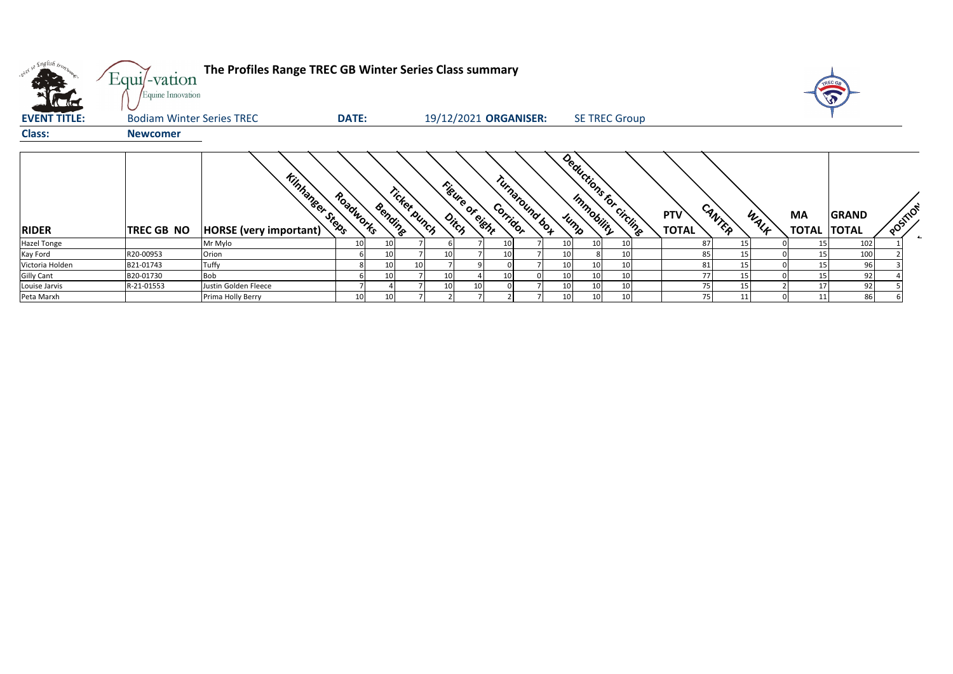| . english ir <sub>or</sub> .<br><b>K</b> AF | Equi/-vation<br>Equine Innovation | The Profiles Range TREC GB Winter Series Class summary |              |         |              |       |                  |                            |                         |                      |    |                            |        |      |                          |              |          |
|---------------------------------------------|-----------------------------------|--------------------------------------------------------|--------------|---------|--------------|-------|------------------|----------------------------|-------------------------|----------------------|----|----------------------------|--------|------|--------------------------|--------------|----------|
| <b>EVENT TITLE:</b>                         | <b>Bodiam Winter Series TREC</b>  |                                                        | <b>DATE:</b> |         |              |       |                  | 19/12/2021 ORGANISER:      |                         | <b>SE TREC Group</b> |    |                            |        |      |                          |              |          |
| <b>Class:</b>                               | <b>Newcomer</b>                   |                                                        |              |         |              |       |                  |                            |                         |                      |    |                            |        |      |                          |              |          |
| <b>RIDER</b>                                | <b>TREC GB NO</b>                 | <b>Kinhaneer Steps</b><br>HORSE (very important)       | Roadworks    | Bending | Ticket punch | Ditch | Figure of clicht | Turnaround box<br>Corridor | Deductions for circling |                      |    | <b>PTV</b><br><b>TOTAL</b> | CANTER | WALF | MA<br><b>TOTAL TOTAL</b> | <b>GRAND</b> | POSITION |
| <b>Hazel Tonge</b>                          |                                   | Mr Mylo                                                | 10           | 10      |              |       |                  |                            |                         |                      | 10 | 87                         |        |      |                          | 102          |          |
| Kay Ford                                    | R20-00953                         | Orion                                                  |              | 10      |              | 10    |                  |                            |                         |                      | 10 | 85                         | 15     |      | 15                       | 100          |          |
| Victoria Holden                             | B21-01743                         | Tuffy                                                  | 8            | 10      |              |       |                  |                            |                         |                      | 10 | 81                         |        |      |                          | 96           |          |
| <b>Gilly Cant</b>                           | B20-01730                         | <b>Bob</b>                                             |              | 10      |              | 10    |                  |                            |                         |                      | 10 | 77                         | 15     |      |                          | 92           |          |
| Louise Jarvis                               | R-21-01553                        | Justin Golden Fleece                                   |              |         |              | 10    | 10               |                            |                         | 10                   | 10 | 75                         | 15     |      | 17                       | 92           |          |
| Peta Marxh                                  |                                   | Prima Holly Berry                                      | 10           | 10      |              |       |                  |                            | 10                      | 10                   | 10 | 75                         | 11     |      | 11                       | 86           |          |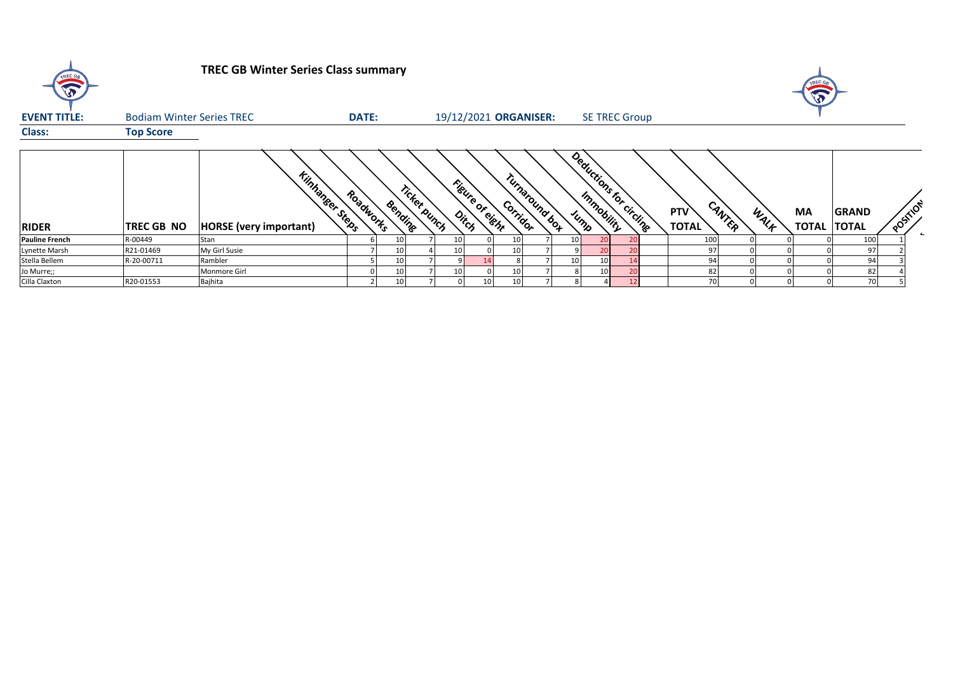| TREC GR               |                                  | <b>TREC GB Winter Series Class summary</b>              |              |         |              |    |                          |                            |  |    |                        |                            |        |      | TREC G <sub>5</sub><br>A        |              |          |
|-----------------------|----------------------------------|---------------------------------------------------------|--------------|---------|--------------|----|--------------------------|----------------------------|--|----|------------------------|----------------------------|--------|------|---------------------------------|--------------|----------|
| <b>EVENT TITLE:</b>   | <b>Bodiam Winter Series TREC</b> |                                                         | <b>DATE:</b> |         |              |    |                          | 19/12/2021 ORGANISER:      |  |    | <b>SE TREC Group</b>   |                            |        |      |                                 |              |          |
| <b>Class:</b>         | <b>Top Score</b>                 |                                                         |              |         |              |    |                          |                            |  |    |                        |                            |        |      |                                 |              |          |
| <b>RIDER</b>          | <b>TREC GB NO</b>                | <b>Kinhaneer Steps</b><br><b>HORSE</b> (very important) | Roadworks    | Bending | Ticket bunch |    | Figure of eight<br>Ditch | Turnaround box<br>Corridor |  |    | Deductions for circums | <b>PTV</b><br><b>TOTAL</b> | CANTER | WALK | <b>MA</b><br><b>TOTAL TOTAL</b> | <b>GRAND</b> | POSITION |
| <b>Pauline French</b> | R-00449                          | Stan                                                    |              |         |              | 10 |                          |                            |  | 20 | $\overline{2}$         | 100                        |        |      |                                 | 100          |          |
| Lynette Marsh         | R21-01469                        | My Girl Susie                                           |              |         |              | 10 |                          |                            |  | 20 | 20                     | 97                         |        |      |                                 | 97           |          |
| Stella Bellem         | R-20-00711                       | Rambler                                                 |              |         |              |    |                          |                            |  |    | 14                     | 94                         |        |      |                                 | 94           |          |
| Jo Murre;;            |                                  | Monmore Girl                                            |              |         |              | 10 |                          |                            |  |    | 20                     | 82                         |        |      |                                 | 82           |          |
| Cilla Claxton         | R20-01553                        | Bajhita                                                 |              |         |              |    |                          |                            |  |    | $12 \text{ }$          | 70                         |        |      |                                 | 70           |          |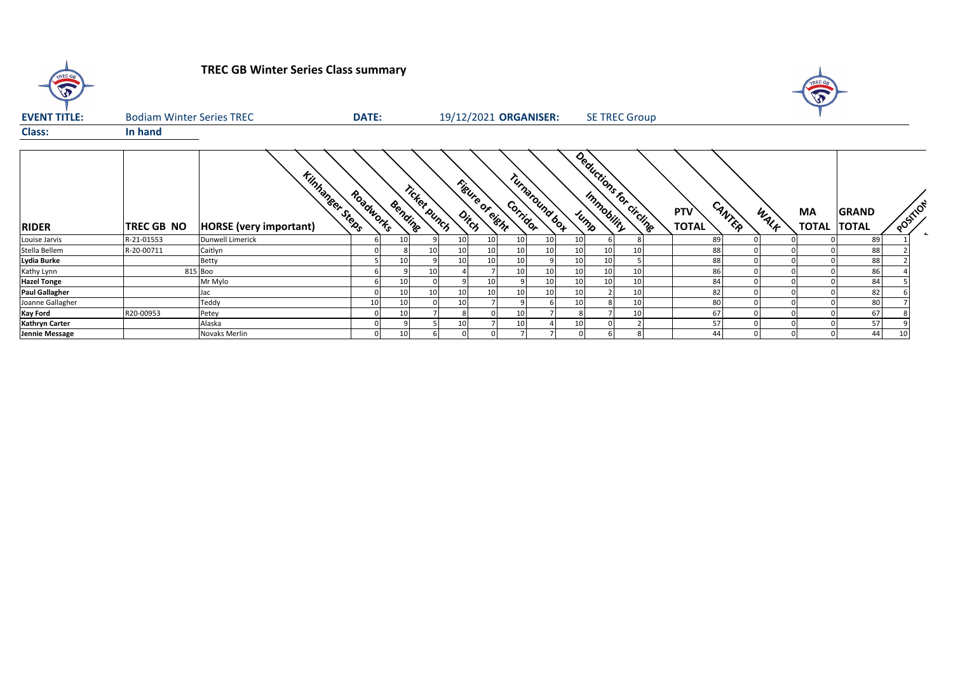| $\sqrt{2}$            | <b>TREC GB Winter Series Class summary</b> |                                                          |              |         |              |                       |    |             |               |    |                 |                         |                            |        |      | TREC GA<br>$\bigvee$ |                              |          |        |
|-----------------------|--------------------------------------------|----------------------------------------------------------|--------------|---------|--------------|-----------------------|----|-------------|---------------|----|-----------------|-------------------------|----------------------------|--------|------|----------------------|------------------------------|----------|--------|
| <b>EVENT TITLE:</b>   | <b>Bodiam Winter Series TREC</b>           |                                                          | <b>DATE:</b> |         |              | 19/12/2021 ORGANISER: |    |             |               |    |                 | <b>SE TREC Group</b>    |                            |        |      |                      |                              |          |        |
| <b>Class:</b>         | In hand                                    |                                                          |              |         |              |                       |    |             |               |    |                 |                         |                            |        |      |                      |                              |          |        |
| <b>RIDER</b>          | TREC GB NO                                 | <b>Kinhaneer Steeps</b><br><b>HORSE</b> (very important) | Roadworks    | Bendine | Ticket punch | Figure of dishr       |    | Corridor    | Tunaround box |    |                 | Deductions for circling | <b>PTV</b><br><b>TOTAL</b> | CANTER | WALK | MA<br><b>TOTAL</b>   | <b>GRAND</b><br><b>TOTAL</b> | POSTILOT | $\sim$ |
| Louise Jarvis         | R-21-01553                                 | Dunwell Limerick                                         |              | 10      |              | 10                    | 10 | 10          | 10            | 10 |                 |                         | 89                         |        |      |                      | 89                           |          |        |
| Stella Bellem         | R-20-00711                                 | Caitlyn                                                  |              |         | 10           |                       | 10 | 10          | 10            | 10 | 10              | 10                      | 88                         |        |      |                      | 88                           |          |        |
| Lydia Burke           |                                            | Betty                                                    |              | 10      |              |                       | 10 | 10          | 9             | 10 | 10              |                         | 88                         |        |      |                      | 88                           |          |        |
| Kathy Lynn            |                                            | 815 Boo                                                  |              |         | 10           |                       |    | 10          | 10            | 10 | 10              | 10                      | 86                         |        |      |                      | 86                           |          |        |
| <b>Hazel Tonge</b>    |                                            | Mr Mylo                                                  |              | 10      |              |                       | 10 |             | 10            | 10 | 10 <sup>1</sup> | 10                      | 84                         |        |      |                      | 84                           |          |        |
| <b>Paul Gallagher</b> |                                            | Jac                                                      |              | 10      | 10           |                       | 10 | 10          | 10            | 10 |                 | 10                      | 82                         |        |      |                      | 82                           |          |        |
| Joanne Gallagher      |                                            | Teddy                                                    | 10           | 10      |              |                       |    |             |               | 10 |                 | 10                      | 80                         |        |      |                      | 80                           |          |        |
| <b>Kay Ford</b>       | R20-00953                                  | Petey                                                    |              | 10      |              |                       |    | 10          |               |    |                 | 10                      | 67                         |        |      |                      | 67                           |          |        |
| <b>Kathryn Carter</b> |                                            | Alaska                                                   |              |         |              |                       |    | 10          |               | 10 |                 |                         | 57                         |        |      |                      | 57                           |          |        |
| Jennie Message        |                                            | <b>Novaks Merlin</b>                                     | $\Omega$     | 10      |              |                       |    | $7^{\circ}$ |               |    |                 |                         | 44                         |        |      |                      | 44                           | 10       |        |